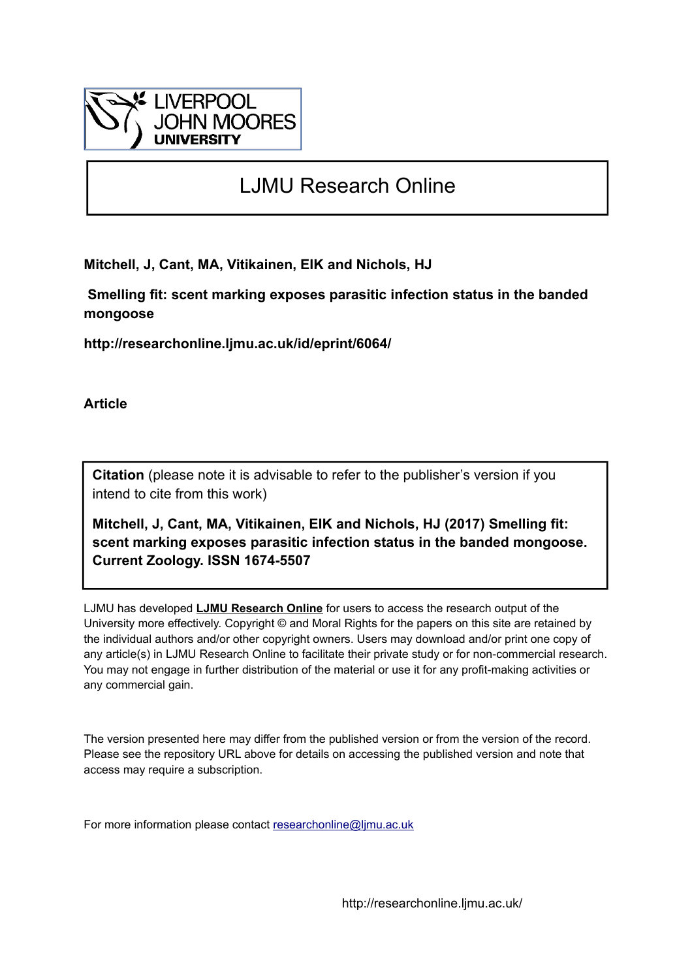

# LJMU Research Online

**Mitchell, J, Cant, MA, Vitikainen, EIK and Nichols, HJ**

 **Smelling fit: scent marking exposes parasitic infection status in the banded mongoose**

**http://researchonline.ljmu.ac.uk/id/eprint/6064/**

**Article**

**Citation** (please note it is advisable to refer to the publisher's version if you intend to cite from this work)

**Mitchell, J, Cant, MA, Vitikainen, EIK and Nichols, HJ (2017) Smelling fit: scent marking exposes parasitic infection status in the banded mongoose. Current Zoology. ISSN 1674-5507** 

LJMU has developed **[LJMU Research Online](http://researchonline.ljmu.ac.uk/)** for users to access the research output of the University more effectively. Copyright © and Moral Rights for the papers on this site are retained by the individual authors and/or other copyright owners. Users may download and/or print one copy of any article(s) in LJMU Research Online to facilitate their private study or for non-commercial research. You may not engage in further distribution of the material or use it for any profit-making activities or any commercial gain.

The version presented here may differ from the published version or from the version of the record. Please see the repository URL above for details on accessing the published version and note that access may require a subscription.

For more information please contact [researchonline@ljmu.ac.uk](mailto:researchonline@ljmu.ac.uk)

http://researchonline.ljmu.ac.uk/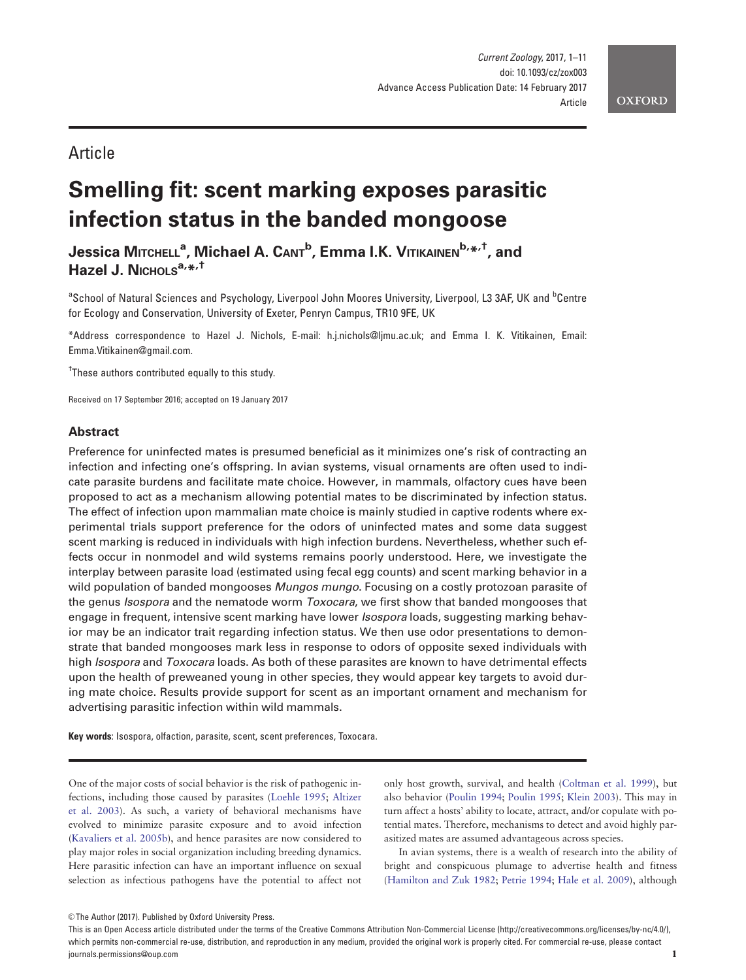# Article

# Smelling fit: scent marking exposes parasitic infection status in the banded mongoose

Jessica Мітснєц<sup>а</sup>, Michael A. Cамт<sup>b</sup>, Emma I.K. Vітікаімем<sup>b,</sup>\*<sup>,†</sup>, and Hazel J. Nichols $a_{i*}$ ,  $\dagger$ 

<sup>a</sup>School of Natural Sciences and Psychology, Liverpool John Moores University, Liverpool, L3 3AF, UK and <sup>b</sup>Centre for Ecology and Conservation, University of Exeter, Penryn Campus, TR10 9FE, UK

\*Address correspondence to Hazel J. Nichols, E-mail: h.j.nichols@ljmu.ac.uk; and Emma I. K. Vitikainen, Email: Emma.Vitikainen@gmail.com.

<sup>†</sup>These authors contributed equally to this study.

Received on 17 September 2016; accepted on 19 January 2017

# Abstract

Preference for uninfected mates is presumed beneficial as it minimizes one's risk of contracting an infection and infecting one's offspring. In avian systems, visual ornaments are often used to indicate parasite burdens and facilitate mate choice. However, in mammals, olfactory cues have been proposed to act as a mechanism allowing potential mates to be discriminated by infection status. The effect of infection upon mammalian mate choice is mainly studied in captive rodents where experimental trials support preference for the odors of uninfected mates and some data suggest scent marking is reduced in individuals with high infection burdens. Nevertheless, whether such effects occur in nonmodel and wild systems remains poorly understood. Here, we investigate the interplay between parasite load (estimated using fecal egg counts) and scent marking behavior in a wild population of banded mongooses *Mungos mungo*. Focusing on a costly protozoan parasite of the genus Isospora and the nematode worm Toxocara, we first show that banded mongooses that engage in frequent, intensive scent marking have lower *Isospora* loads, suggesting marking behavior may be an indicator trait regarding infection status. We then use odor presentations to demonstrate that banded mongooses mark less in response to odors of opposite sexed individuals with high *Isospora* and *Toxocara* loads. As both of these parasites are known to have detrimental effects upon the health of preweaned young in other species, they would appear key targets to avoid during mate choice. Results provide support for scent as an important ornament and mechanism for advertising parasitic infection within wild mammals.

Key words: Isospora, olfaction, parasite, scent, scent preferences, Toxocara.

One of the major costs of social behavior is the risk of pathogenic infections, including those caused by parasites [\(Loehle 1995](#page-10-0); [Altizer](#page-9-0) [et al. 2003](#page-9-0)). As such, a variety of behavioral mechanisms have evolved to minimize parasite exposure and to avoid infection [\(Kavaliers et al. 2005b\)](#page-10-0), and hence parasites are now considered to play major roles in social organization including breeding dynamics. Here parasitic infection can have an important influence on sexual selection as infectious pathogens have the potential to affect not

only host growth, survival, and health ([Coltman et al. 1999](#page-9-0)), but also behavior [\(Poulin 1994;](#page-10-0) [Poulin 1995](#page-10-0); [Klein 2003](#page-10-0)). This may in turn affect a hosts' ability to locate, attract, and/or copulate with potential mates. Therefore, mechanisms to detect and avoid highly parasitized mates are assumed advantageous across species.

In avian systems, there is a wealth of research into the ability of bright and conspicuous plumage to advertise health and fitness [\(Hamilton and Zuk 1982;](#page-10-0) [Petrie 1994;](#page-10-0) [Hale et al. 2009\)](#page-10-0), although

<sup>©</sup> The Author (2017). Published by Oxford University Press.

This is an Open Access article distributed under the terms of the Creative Commons Attribution Non-Commercial License (http://creativecommons.org/licenses/by-nc/4.0/), which permits non-commercial re-use, distribution, and reproduction in any medium, provided the original work is properly cited. For commercial re-use, please contact journals.permissions@oup.com 1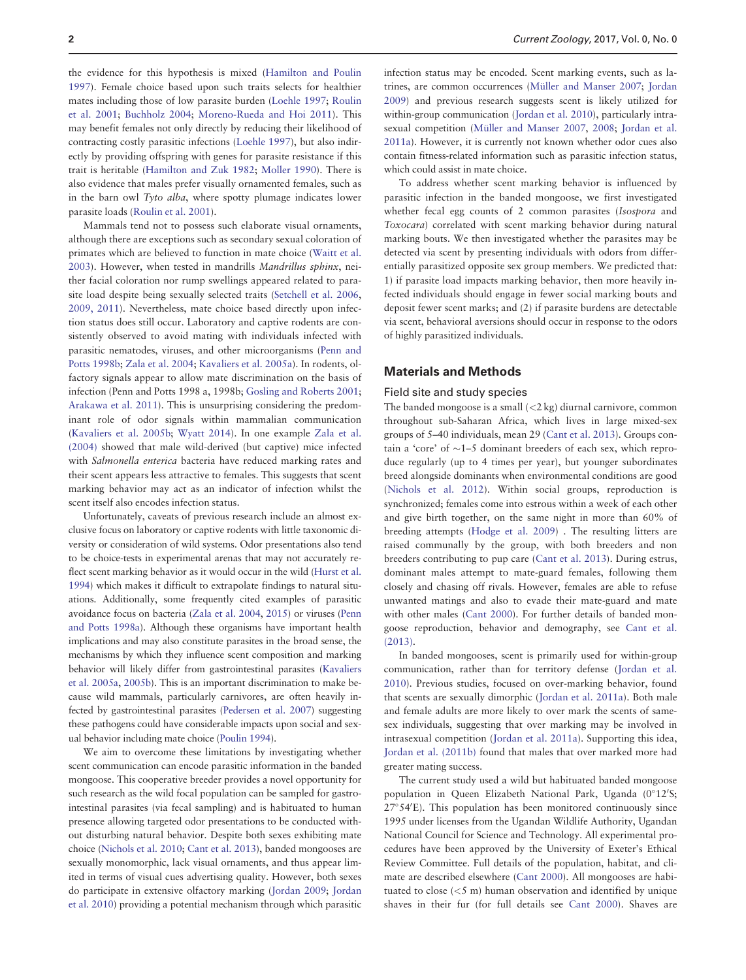the evidence for this hypothesis is mixed [\(Hamilton and Poulin](#page-10-0) [1997](#page-10-0)). Female choice based upon such traits selects for healthier mates including those of low parasite burden ([Loehle 1997](#page-10-0); [Roulin](#page-11-0) [et al. 2001;](#page-11-0) [Buchholz 2004;](#page-9-0) [Moreno-Rueda and Hoi 2011](#page-10-0)). This may benefit females not only directly by reducing their likelihood of contracting costly parasitic infections ([Loehle 1997\)](#page-10-0), but also indirectly by providing offspring with genes for parasite resistance if this trait is heritable [\(Hamilton and Zuk 1982](#page-10-0); [Moller 1990\)](#page-10-0). There is also evidence that males prefer visually ornamented females, such as in the barn owl Tyto alba, where spotty plumage indicates lower parasite loads [\(Roulin et al. 2001](#page-11-0)).

Mammals tend not to possess such elaborate visual ornaments, although there are exceptions such as secondary sexual coloration of primates which are believed to function in mate choice ([Waitt et al.](#page-11-0) [2003](#page-11-0)). However, when tested in mandrills Mandrillus sphinx, neither facial coloration nor rump swellings appeared related to parasite load despite being sexually selected traits [\(Setchell et al. 2006](#page-11-0), [2009, 2011](#page-11-0)). Nevertheless, mate choice based directly upon infection status does still occur. Laboratory and captive rodents are consistently observed to avoid mating with individuals infected with parasitic nematodes, viruses, and other microorganisms ([Penn and](#page-10-0) [Potts 1998b;](#page-10-0) [Zala et al. 2004;](#page-11-0) [Kavaliers et al. 2005a](#page-10-0)). In rodents, olfactory signals appear to allow mate discrimination on the basis of infection (Penn and Potts 1998 a, 1998b; [Gosling and Roberts 2001](#page-10-0); [Arakawa et al. 2011](#page-9-0)). This is unsurprising considering the predominant role of odor signals within mammalian communication [\(Kavaliers et al. 2005b](#page-10-0); [Wyatt 2014](#page-11-0)). In one example [Zala et al.](#page-11-0) [\(2004\)](#page-11-0) showed that male wild-derived (but captive) mice infected with Salmonella enterica bacteria have reduced marking rates and their scent appears less attractive to females. This suggests that scent marking behavior may act as an indicator of infection whilst the scent itself also encodes infection status.

Unfortunately, caveats of previous research include an almost exclusive focus on laboratory or captive rodents with little taxonomic diversity or consideration of wild systems. Odor presentations also tend to be choice-tests in experimental arenas that may not accurately reflect scent marking behavior as it would occur in the wild ([Hurst et al.](#page-10-0) [1994\)](#page-10-0) which makes it difficult to extrapolate findings to natural situations. Additionally, some frequently cited examples of parasitic avoidance focus on bacteria ([Zala et al. 2004,](#page-11-0) [2015\)](#page-11-0) or viruses [\(Penn](#page-10-0) [and Potts 1998a\)](#page-10-0). Although these organisms have important health implications and may also constitute parasites in the broad sense, the mechanisms by which they influence scent composition and marking behavior will likely differ from gastrointestinal parasites ([Kavaliers](#page-10-0) [et al. 2005a,](#page-10-0) [2005b](#page-10-0)). This is an important discrimination to make because wild mammals, particularly carnivores, are often heavily infected by gastrointestinal parasites [\(Pedersen et al. 2007](#page-10-0)) suggesting these pathogens could have considerable impacts upon social and sexual behavior including mate choice [\(Poulin 1994](#page-10-0)).

We aim to overcome these limitations by investigating whether scent communication can encode parasitic information in the banded mongoose. This cooperative breeder provides a novel opportunity for such research as the wild focal population can be sampled for gastrointestinal parasites (via fecal sampling) and is habituated to human presence allowing targeted odor presentations to be conducted without disturbing natural behavior. Despite both sexes exhibiting mate choice ([Nichols et al. 2010](#page-10-0); [Cant et al. 2013](#page-9-0)), banded mongooses are sexually monomorphic, lack visual ornaments, and thus appear limited in terms of visual cues advertising quality. However, both sexes do participate in extensive olfactory marking ([Jordan 2009](#page-10-0); [Jordan](#page-10-0) [et al. 2010\)](#page-10-0) providing a potential mechanism through which parasitic

infection status may be encoded. Scent marking events, such as la-trines, are common occurrences (Müller and Manser 2007; [Jordan](#page-10-0) [2009](#page-10-0)) and previous research suggests scent is likely utilized for within-group communication [\(Jordan et al. 2010](#page-10-0)), particularly intra-sexual competition (Müller and Manser 2007, [2008;](#page-10-0) [Jordan et al.](#page-10-0) [2011a\)](#page-10-0). However, it is currently not known whether odor cues also contain fitness-related information such as parasitic infection status, which could assist in mate choice.

To address whether scent marking behavior is influenced by parasitic infection in the banded mongoose, we first investigated whether fecal egg counts of 2 common parasites (Isospora and Toxocara) correlated with scent marking behavior during natural marking bouts. We then investigated whether the parasites may be detected via scent by presenting individuals with odors from differentially parasitized opposite sex group members. We predicted that: 1) if parasite load impacts marking behavior, then more heavily infected individuals should engage in fewer social marking bouts and deposit fewer scent marks; and (2) if parasite burdens are detectable via scent, behavioral aversions should occur in response to the odors of highly parasitized individuals.

#### Materials and Methods

#### Field site and study species

The banded mongoose is a small  $\left($  <2 kg) diurnal carnivore, common throughout sub-Saharan Africa, which lives in large mixed-sex groups of 5–40 individuals, mean 29 [\(Cant et al. 2013](#page-9-0)). Groups contain a 'core' of  $\sim$ 1–5 dominant breeders of each sex, which reproduce regularly (up to 4 times per year), but younger subordinates breed alongside dominants when environmental conditions are good [\(Nichols et al. 2012](#page-10-0)). Within social groups, reproduction is synchronized; females come into estrous within a week of each other and give birth together, on the same night in more than 60% of breeding attempts [\(Hodge et al. 2009](#page-10-0)) . The resulting litters are raised communally by the group, with both breeders and non breeders contributing to pup care ([Cant et al. 2013](#page-9-0)). During estrus, dominant males attempt to mate-guard females, following them closely and chasing off rivals. However, females are able to refuse unwanted matings and also to evade their mate-guard and mate with other males ([Cant 2000](#page-9-0)). For further details of banded mongoose reproduction, behavior and demography, see [Cant et al.](#page-9-0) [\(2013\).](#page-9-0)

In banded mongooses, scent is primarily used for within-group communication, rather than for territory defense [\(Jordan et al.](#page-10-0) [2010](#page-10-0)). Previous studies, focused on over-marking behavior, found that scents are sexually dimorphic [\(Jordan et al. 2011a\)](#page-10-0). Both male and female adults are more likely to over mark the scents of samesex individuals, suggesting that over marking may be involved in intrasexual competition ([Jordan et al. 2011a](#page-10-0)). Supporting this idea, [Jordan et al. \(2011b\)](#page-10-0) found that males that over marked more had greater mating success.

The current study used a wild but habituated banded mongoose population in Queen Elizabeth National Park, Uganda (0°12'S; 27°54'E). This population has been monitored continuously since 1995 under licenses from the Ugandan Wildlife Authority, Ugandan National Council for Science and Technology. All experimental procedures have been approved by the University of Exeter's Ethical Review Committee. Full details of the population, habitat, and climate are described elsewhere [\(Cant 2000](#page-9-0)). All mongooses are habituated to close (<5 m) human observation and identified by unique shaves in their fur (for full details see [Cant 2000](#page-9-0)). Shaves are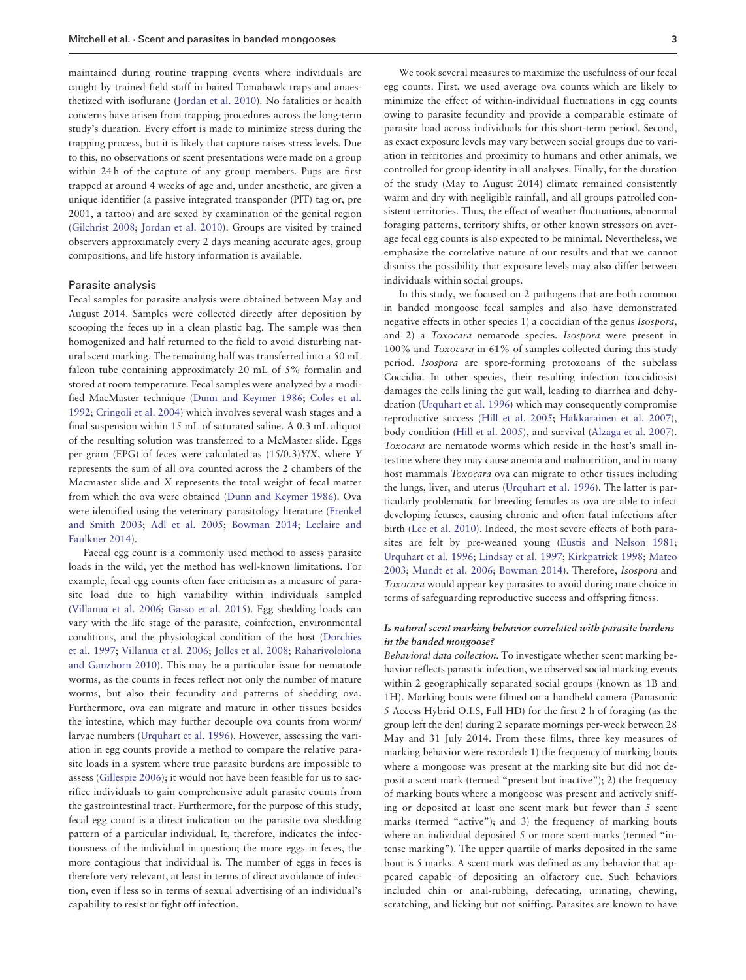maintained during routine trapping events where individuals are caught by trained field staff in baited Tomahawk traps and anaesthetized with isoflurane [\(Jordan et al. 2010\)](#page-10-0). No fatalities or health concerns have arisen from trapping procedures across the long-term study's duration. Every effort is made to minimize stress during the trapping process, but it is likely that capture raises stress levels. Due to this, no observations or scent presentations were made on a group within 24 h of the capture of any group members. Pups are first trapped at around 4 weeks of age and, under anesthetic, are given a unique identifier (a passive integrated transponder (PIT) tag or, pre 2001, a tattoo) and are sexed by examination of the genital region [\(Gilchrist 2008;](#page-10-0) [Jordan et al. 2010\)](#page-10-0). Groups are visited by trained observers approximately every 2 days meaning accurate ages, group compositions, and life history information is available.

# Parasite analysis

Fecal samples for parasite analysis were obtained between May and August 2014. Samples were collected directly after deposition by scooping the feces up in a clean plastic bag. The sample was then homogenized and half returned to the field to avoid disturbing natural scent marking. The remaining half was transferred into a 50 mL falcon tube containing approximately 20 mL of 5% formalin and stored at room temperature. Fecal samples were analyzed by a modified MacMaster technique [\(Dunn and Keymer 1986;](#page-9-0) [Coles et al.](#page-9-0) [1992](#page-9-0); [Cringoli et al. 2004\)](#page-9-0) which involves several wash stages and a final suspension within 15 mL of saturated saline. A 0.3 mL aliquot of the resulting solution was transferred to a McMaster slide. Eggs per gram (EPG) of feces were calculated as (15/0.3)Y/X, where Y represents the sum of all ova counted across the 2 chambers of the Macmaster slide and X represents the total weight of fecal matter from which the ova were obtained [\(Dunn and Keymer 1986](#page-9-0)). Ova were identified using the veterinary parasitology literature ([Frenkel](#page-9-0) [and Smith 2003;](#page-9-0) [Adl et al. 2005](#page-9-0); [Bowman 2014;](#page-9-0) [Leclaire and](#page-10-0) [Faulkner 2014\)](#page-10-0).

Faecal egg count is a commonly used method to assess parasite loads in the wild, yet the method has well-known limitations. For example, fecal egg counts often face criticism as a measure of parasite load due to high variability within individuals sampled [\(Villanua et al. 2006;](#page-11-0) [Gasso et al. 2015](#page-9-0)). Egg shedding loads can vary with the life stage of the parasite, coinfection, environmental conditions, and the physiological condition of the host [\(Dorchies](#page-9-0) [et al. 1997](#page-9-0); [Villanua et al. 2006;](#page-11-0) [Jolles et al. 2008](#page-10-0); [Raharivololona](#page-10-0) [and Ganzhorn 2010](#page-10-0)). This may be a particular issue for nematode worms, as the counts in feces reflect not only the number of mature worms, but also their fecundity and patterns of shedding ova. Furthermore, ova can migrate and mature in other tissues besides the intestine, which may further decouple ova counts from worm/ larvae numbers [\(Urquhart et al. 1996\)](#page-11-0). However, assessing the variation in egg counts provide a method to compare the relative parasite loads in a system where true parasite burdens are impossible to assess [\(Gillespie 2006\)](#page-10-0); it would not have been feasible for us to sacrifice individuals to gain comprehensive adult parasite counts from the gastrointestinal tract. Furthermore, for the purpose of this study, fecal egg count is a direct indication on the parasite ova shedding pattern of a particular individual. It, therefore, indicates the infectiousness of the individual in question; the more eggs in feces, the more contagious that individual is. The number of eggs in feces is therefore very relevant, at least in terms of direct avoidance of infection, even if less so in terms of sexual advertising of an individual's capability to resist or fight off infection.

We took several measures to maximize the usefulness of our fecal egg counts. First, we used average ova counts which are likely to minimize the effect of within-individual fluctuations in egg counts owing to parasite fecundity and provide a comparable estimate of parasite load across individuals for this short-term period. Second, as exact exposure levels may vary between social groups due to variation in territories and proximity to humans and other animals, we controlled for group identity in all analyses. Finally, for the duration of the study (May to August 2014) climate remained consistently warm and dry with negligible rainfall, and all groups patrolled consistent territories. Thus, the effect of weather fluctuations, abnormal foraging patterns, territory shifts, or other known stressors on average fecal egg counts is also expected to be minimal. Nevertheless, we emphasize the correlative nature of our results and that we cannot dismiss the possibility that exposure levels may also differ between individuals within social groups.

In this study, we focused on 2 pathogens that are both common in banded mongoose fecal samples and also have demonstrated negative effects in other species 1) a coccidian of the genus Isospora, and 2) a Toxocara nematode species. Isospora were present in 100% and Toxocara in 61% of samples collected during this study period. Isospora are spore-forming protozoans of the subclass Coccidia. In other species, their resulting infection (coccidiosis) damages the cells lining the gut wall, leading to diarrhea and dehydration ([Urquhart et al. 1996](#page-11-0)) which may consequently compromise reproductive success [\(Hill et al. 2005](#page-10-0); [Hakkarainen et al. 2007\)](#page-10-0), body condition [\(Hill et al. 2005](#page-10-0)), and survival [\(Alzaga et al. 2007\)](#page-9-0). Toxocara are nematode worms which reside in the host's small intestine where they may cause anemia and malnutrition, and in many host mammals Toxocara ova can migrate to other tissues including the lungs, liver, and uterus ([Urquhart et al. 1996](#page-11-0)). The latter is particularly problematic for breeding females as ova are able to infect developing fetuses, causing chronic and often fatal infections after birth [\(Lee et al. 2010](#page-10-0)). Indeed, the most severe effects of both parasites are felt by pre-weaned young [\(Eustis and Nelson 1981](#page-9-0); [Urquhart et al. 1996;](#page-11-0) [Lindsay et al. 1997;](#page-10-0) [Kirkpatrick 1998](#page-10-0); [Mateo](#page-10-0) [2003](#page-10-0); [Mundt et al. 2006;](#page-10-0) [Bowman 2014](#page-9-0)). Therefore, Isospora and Toxocara would appear key parasites to avoid during mate choice in terms of safeguarding reproductive success and offspring fitness.

### Is natural scent marking behavior correlated with parasite burdens in the banded mongoose?

Behavioral data collection. To investigate whether scent marking behavior reflects parasitic infection, we observed social marking events within 2 geographically separated social groups (known as 1B and 1H). Marking bouts were filmed on a handheld camera (Panasonic 5 Access Hybrid O.I.S, Full HD) for the first 2 h of foraging (as the group left the den) during 2 separate mornings per-week between 28 May and 31 July 2014. From these films, three key measures of marking behavior were recorded: 1) the frequency of marking bouts where a mongoose was present at the marking site but did not deposit a scent mark (termed "present but inactive"); 2) the frequency of marking bouts where a mongoose was present and actively sniffing or deposited at least one scent mark but fewer than 5 scent marks (termed "active"); and 3) the frequency of marking bouts where an individual deposited 5 or more scent marks (termed "intense marking"). The upper quartile of marks deposited in the same bout is 5 marks. A scent mark was defined as any behavior that appeared capable of depositing an olfactory cue. Such behaviors included chin or anal-rubbing, defecating, urinating, chewing, scratching, and licking but not sniffing. Parasites are known to have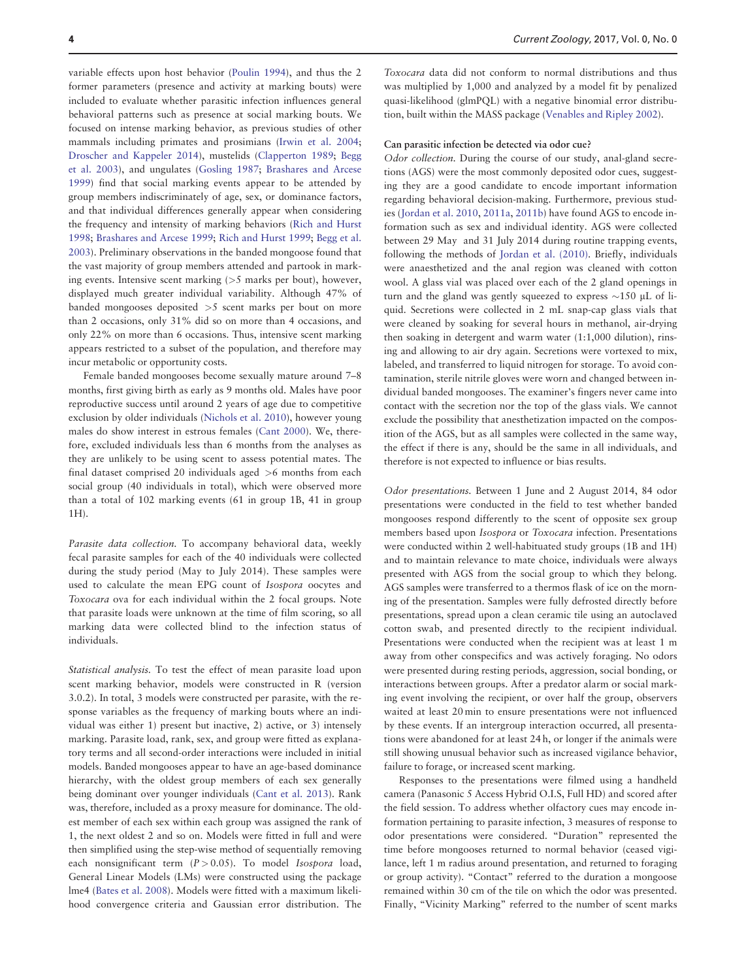variable effects upon host behavior [\(Poulin 1994](#page-10-0)), and thus the 2 former parameters (presence and activity at marking bouts) were included to evaluate whether parasitic infection influences general behavioral patterns such as presence at social marking bouts. We focused on intense marking behavior, as previous studies of other mammals including primates and prosimians [\(Irwin et al. 2004](#page-10-0); [Droscher and Kappeler 2014\)](#page-9-0), mustelids ([Clapperton 1989](#page-9-0); [Begg](#page-9-0) [et al. 2003](#page-9-0)), and ungulates ([Gosling 1987;](#page-10-0) [Brashares and Arcese](#page-9-0) [1999](#page-9-0)) find that social marking events appear to be attended by group members indiscriminately of age, sex, or dominance factors, and that individual differences generally appear when considering the frequency and intensity of marking behaviors ([Rich and Hurst](#page-10-0) [1998](#page-10-0); [Brashares and Arcese 1999](#page-9-0); [Rich and Hurst 1999](#page-10-0); [Begg et al.](#page-9-0) [2003](#page-9-0)). Preliminary observations in the banded mongoose found that the vast majority of group members attended and partook in marking events. Intensive scent marking (>5 marks per bout), however, displayed much greater individual variability. Although 47% of banded mongooses deposited >5 scent marks per bout on more than 2 occasions, only 31% did so on more than 4 occasions, and only 22% on more than 6 occasions. Thus, intensive scent marking appears restricted to a subset of the population, and therefore may incur metabolic or opportunity costs.

Female banded mongooses become sexually mature around 7–8 months, first giving birth as early as 9 months old. Males have poor reproductive success until around 2 years of age due to competitive exclusion by older individuals ([Nichols et al. 2010\)](#page-10-0), however young males do show interest in estrous females ([Cant 2000](#page-9-0)). We, therefore, excluded individuals less than 6 months from the analyses as they are unlikely to be using scent to assess potential mates. The final dataset comprised 20 individuals aged >6 months from each social group (40 individuals in total), which were observed more than a total of 102 marking events (61 in group 1B, 41 in group 1H).

Parasite data collection. To accompany behavioral data, weekly fecal parasite samples for each of the 40 individuals were collected during the study period (May to July 2014). These samples were used to calculate the mean EPG count of Isospora oocytes and Toxocara ova for each individual within the 2 focal groups. Note that parasite loads were unknown at the time of film scoring, so all marking data were collected blind to the infection status of individuals.

Statistical analysis. To test the effect of mean parasite load upon scent marking behavior, models were constructed in R (version 3.0.2). In total, 3 models were constructed per parasite, with the response variables as the frequency of marking bouts where an individual was either 1) present but inactive, 2) active, or 3) intensely marking. Parasite load, rank, sex, and group were fitted as explanatory terms and all second-order interactions were included in initial models. Banded mongooses appear to have an age-based dominance hierarchy, with the oldest group members of each sex generally being dominant over younger individuals [\(Cant et al. 2013](#page-9-0)). Rank was, therefore, included as a proxy measure for dominance. The oldest member of each sex within each group was assigned the rank of 1, the next oldest 2 and so on. Models were fitted in full and were then simplified using the step-wise method of sequentially removing each nonsignificant term  $(P > 0.05)$ . To model Isospora load, General Linear Models (LMs) were constructed using the package lme4 [\(Bates et al. 2008\)](#page-9-0). Models were fitted with a maximum likelihood convergence criteria and Gaussian error distribution. The

Toxocara data did not conform to normal distributions and thus was multiplied by 1,000 and analyzed by a model fit by penalized quasi-likelihood (glmPQL) with a negative binomial error distribution, built within the MASS package ([Venables and Ripley 2002](#page-11-0)).

#### Can parasitic infection be detected via odor cue?

Odor collection. During the course of our study, anal-gland secretions (AGS) were the most commonly deposited odor cues, suggesting they are a good candidate to encode important information regarding behavioral decision-making. Furthermore, previous studies [\(Jordan et al. 2010,](#page-10-0) [2011a,](#page-10-0) [2011b\)](#page-10-0) have found AGS to encode information such as sex and individual identity. AGS were collected between 29 May and 31 July 2014 during routine trapping events, following the methods of [Jordan et al. \(2010\)](#page-10-0). Briefly, individuals were anaesthetized and the anal region was cleaned with cotton wool. A glass vial was placed over each of the 2 gland openings in turn and the gland was gently squeezed to express  $\sim$ 150  $\mu$ L of liquid. Secretions were collected in 2 mL snap-cap glass vials that were cleaned by soaking for several hours in methanol, air-drying then soaking in detergent and warm water (1:1,000 dilution), rinsing and allowing to air dry again. Secretions were vortexed to mix, labeled, and transferred to liquid nitrogen for storage. To avoid contamination, sterile nitrile gloves were worn and changed between individual banded mongooses. The examiner's fingers never came into contact with the secretion nor the top of the glass vials. We cannot exclude the possibility that anesthetization impacted on the composition of the AGS, but as all samples were collected in the same way, the effect if there is any, should be the same in all individuals, and therefore is not expected to influence or bias results.

Odor presentations. Between 1 June and 2 August 2014, 84 odor presentations were conducted in the field to test whether banded mongooses respond differently to the scent of opposite sex group members based upon Isospora or Toxocara infection. Presentations were conducted within 2 well-habituated study groups (1B and 1H) and to maintain relevance to mate choice, individuals were always presented with AGS from the social group to which they belong. AGS samples were transferred to a thermos flask of ice on the morning of the presentation. Samples were fully defrosted directly before presentations, spread upon a clean ceramic tile using an autoclaved cotton swab, and presented directly to the recipient individual. Presentations were conducted when the recipient was at least 1 m away from other conspecifics and was actively foraging. No odors were presented during resting periods, aggression, social bonding, or interactions between groups. After a predator alarm or social marking event involving the recipient, or over half the group, observers waited at least 20 min to ensure presentations were not influenced by these events. If an intergroup interaction occurred, all presentations were abandoned for at least 24 h, or longer if the animals were still showing unusual behavior such as increased vigilance behavior, failure to forage, or increased scent marking.

Responses to the presentations were filmed using a handheld camera (Panasonic 5 Access Hybrid O.I.S, Full HD) and scored after the field session. To address whether olfactory cues may encode information pertaining to parasite infection, 3 measures of response to odor presentations were considered. "Duration" represented the time before mongooses returned to normal behavior (ceased vigilance, left 1 m radius around presentation, and returned to foraging or group activity). "Contact" referred to the duration a mongoose remained within 30 cm of the tile on which the odor was presented. Finally, "Vicinity Marking" referred to the number of scent marks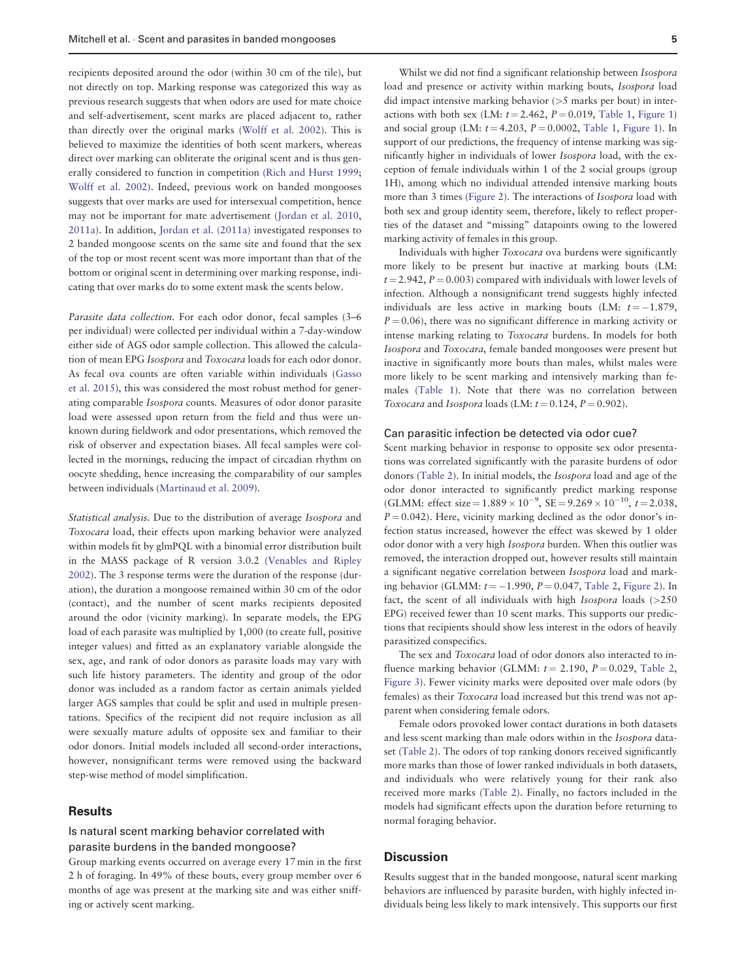recipients deposited around the odor (within 30 cm of the tile), but not directly on top. Marking response was categorized this way as previous research suggests that when odors are used for mate choice and self-advertisement, scent marks are placed adjacent to, rather than directly over the original marks [\(Wolff et al. 2002](#page-11-0)). This is believed to maximize the identities of both scent markers, whereas direct over marking can obliterate the original scent and is thus generally considered to function in competition [\(Rich and Hurst 1999](#page-10-0); [Wolff et al. 2002\)](#page-11-0). Indeed, previous work on banded mongooses suggests that over marks are used for intersexual competition, hence may not be important for mate advertisement ([Jordan et al. 2010](#page-10-0), [2011a](#page-10-0)). In addition, [Jordan et al. \(2011a\)](#page-10-0) investigated responses to 2 banded mongoose scents on the same site and found that the sex of the top or most recent scent was more important than that of the bottom or original scent in determining over marking response, indicating that over marks do to some extent mask the scents below.

Parasite data collection. For each odor donor, fecal samples (3–6 per individual) were collected per individual within a 7-day-window either side of AGS odor sample collection. This allowed the calculation of mean EPG Isospora and Toxocara loads for each odor donor. As fecal ova counts are often variable within individuals ([Gasso](#page-9-0) [et al. 2015\)](#page-9-0), this was considered the most robust method for generating comparable Isospora counts. Measures of odor donor parasite load were assessed upon return from the field and thus were unknown during fieldwork and odor presentations, which removed the risk of observer and expectation biases. All fecal samples were collected in the mornings, reducing the impact of circadian rhythm on oocyte shedding, hence increasing the comparability of our samples between individuals [\(Martinaud et al. 2009\)](#page-10-0).

Statistical analysis. Due to the distribution of average Isospora and Toxocara load, their effects upon marking behavior were analyzed within models fit by glmPQL with a binomial error distribution built in the MASS package of R version 3.0.2 [\(Venables and Ripley](#page-11-0) [2002](#page-11-0)). The 3 response terms were the duration of the response (duration), the duration a mongoose remained within 30 cm of the odor (contact), and the number of scent marks recipients deposited around the odor (vicinity marking). In separate models, the EPG load of each parasite was multiplied by 1,000 (to create full, positive integer values) and fitted as an explanatory variable alongside the sex, age, and rank of odor donors as parasite loads may vary with such life history parameters. The identity and group of the odor donor was included as a random factor as certain animals yielded larger AGS samples that could be split and used in multiple presentations. Specifics of the recipient did not require inclusion as all were sexually mature adults of opposite sex and familiar to their odor donors. Initial models included all second-order interactions, however, nonsignificant terms were removed using the backward step-wise method of model simplification.

# **Results**

# Is natural scent marking behavior correlated with parasite burdens in the banded mongoose?

Group marking events occurred on average every 17 min in the first 2 h of foraging. In 49% of these bouts, every group member over 6 months of age was present at the marking site and was either sniffing or actively scent marking.

Whilst we did not find a significant relationship between Isospora load and presence or activity within marking bouts, Isospora load did impact intensive marking behavior (>5 marks per bout) in interactions with both sex (LM:  $t = 2.462$ ,  $P = 0.019$ , [Table 1,](#page-6-0) [Figure 1\)](#page-7-0) and social group (LM:  $t = 4.203$ ,  $P = 0.0002$ , [Table 1](#page-6-0), [Figure 1\)](#page-7-0). In support of our predictions, the frequency of intense marking was significantly higher in individuals of lower Isospora load, with the exception of female individuals within 1 of the 2 social groups (group 1H), among which no individual attended intensive marking bouts more than 3 times [\(Figure 2](#page-7-0)). The interactions of Isospora load with both sex and group identity seem, therefore, likely to reflect properties of the dataset and "missing" datapoints owing to the lowered marking activity of females in this group.

Individuals with higher Toxocara ova burdens were significantly more likely to be present but inactive at marking bouts (LM:  $t = 2.942$ ,  $P = 0.003$ ) compared with individuals with lower levels of infection. Although a nonsignificant trend suggests highly infected individuals are less active in marking bouts (LM:  $t = -1.879$ ,  $P = 0.06$ ), there was no significant difference in marking activity or intense marking relating to Toxocara burdens. In models for both Isospora and Toxocara, female banded mongooses were present but inactive in significantly more bouts than males, whilst males were more likely to be scent marking and intensively marking than females ([Table 1](#page-6-0)). Note that there was no correlation between Toxocara and Isospora loads (LM:  $t = 0.124$ ,  $P = 0.902$ ).

#### Can parasitic infection be detected via odor cue?

Scent marking behavior in response to opposite sex odor presentations was correlated significantly with the parasite burdens of odor donors [\(Table 2\)](#page-8-0). In initial models, the Isospora load and age of the odor donor interacted to significantly predict marking response (GLMM: effect size =  $1.889 \times 10^{-9}$ , SE =  $9.269 \times 10^{-10}$ , t = 2.038,  $P = 0.042$ ). Here, vicinity marking declined as the odor donor's infection status increased, however the effect was skewed by 1 older odor donor with a very high Isospora burden. When this outlier was removed, the interaction dropped out, however results still maintain a significant negative correlation between Isospora load and marking behavior (GLMM:  $t = -1.990$ ,  $P = 0.047$ , [Table 2](#page-8-0), [Figure 2](#page-7-0)). In fact, the scent of all individuals with high *Isospora* loads (>250) EPG) received fewer than 10 scent marks. This supports our predictions that recipients should show less interest in the odors of heavily parasitized conspecifics.

The sex and Toxocara load of odor donors also interacted to influence marking behavior (GLMM:  $t = 2.190$ ,  $P = 0.029$ , [Table 2](#page-8-0), [Figure 3](#page-9-0)). Fewer vicinity marks were deposited over male odors (by females) as their Toxocara load increased but this trend was not apparent when considering female odors.

Female odors provoked lower contact durations in both datasets and less scent marking than male odors within in the Isospora dataset ([Table 2\)](#page-8-0). The odors of top ranking donors received significantly more marks than those of lower ranked individuals in both datasets, and individuals who were relatively young for their rank also received more marks ([Table 2\)](#page-8-0). Finally, no factors included in the models had significant effects upon the duration before returning to normal foraging behavior.

#### **Discussion**

Results suggest that in the banded mongoose, natural scent marking behaviors are influenced by parasite burden, with highly infected individuals being less likely to mark intensively. This supports our first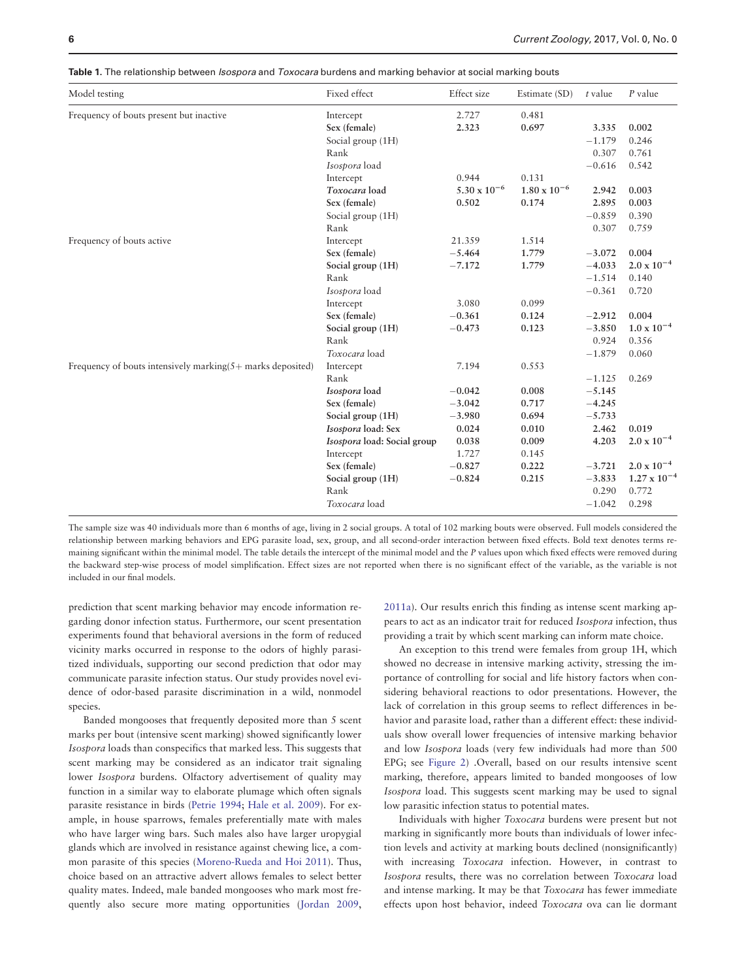| Model testing                                                  | Fixed effect                | Effect size           | Estimate (SD)         | $t$ value | P value               |
|----------------------------------------------------------------|-----------------------------|-----------------------|-----------------------|-----------|-----------------------|
| Frequency of bouts present but inactive                        | Intercept                   | 2.727                 | 0.481                 |           |                       |
|                                                                | Sex (female)                | 2.323                 | 0.697                 | 3.335     | 0.002                 |
|                                                                | Social group (1H)           |                       |                       | $-1.179$  | 0.246                 |
|                                                                | Rank                        |                       |                       | 0.307     | 0.761                 |
|                                                                | Isospora load               |                       |                       | $-0.616$  | 0.542                 |
|                                                                | Intercept                   | 0.944                 | 0.131                 |           |                       |
|                                                                | Toxocara load               | $5.30 \times 10^{-6}$ | $1.80 \times 10^{-6}$ | 2.942     | 0.003                 |
|                                                                | Sex (female)                | 0.502                 | 0.174                 | 2.895     | 0.003                 |
|                                                                | Social group (1H)           |                       |                       | $-0.859$  | 0.390                 |
|                                                                | Rank                        |                       |                       | 0.307     | 0.759                 |
| Frequency of bouts active                                      | Intercept                   | 21.359                | 1.514                 |           |                       |
|                                                                | Sex (female)                | $-5.464$              | 1.779                 | $-3.072$  | 0.004                 |
|                                                                | Social group (1H)           | $-7.172$              | 1.779                 | $-4.033$  | $2.0 \times 10^{-4}$  |
|                                                                | Rank                        |                       |                       | $-1.514$  | 0.140                 |
|                                                                | Isospora load               |                       |                       | $-0.361$  | 0.720                 |
|                                                                | Intercept                   | 3.080                 | 0.099                 |           |                       |
|                                                                | Sex (female)                | $-0.361$              | 0.124                 | $-2.912$  | 0.004                 |
|                                                                | Social group (1H)           | $-0.473$              | 0.123                 | $-3.850$  | $1.0 \times 10^{-4}$  |
|                                                                | Rank                        |                       |                       | 0.924     | 0.356                 |
|                                                                | Toxocara load               |                       |                       | $-1.879$  | 0.060                 |
| Frequency of bouts intensively marking $(5 +$ marks deposited) | Intercept                   | 7.194                 | 0.553                 |           |                       |
|                                                                | Rank                        |                       |                       | $-1.125$  | 0.269                 |
|                                                                | Isospora load               | $-0.042$              | 0.008                 | $-5.145$  |                       |
|                                                                | Sex (female)                | $-3.042$              | 0.717                 | $-4.245$  |                       |
|                                                                | Social group (1H)           | $-3.980$              | 0.694                 | $-5.733$  |                       |
|                                                                | Isospora load: Sex          | 0.024                 | 0.010                 | 2.462     | 0.019                 |
|                                                                | Isospora load: Social group | 0.038                 | 0.009                 | 4.203     | $2.0 \times 10^{-4}$  |
|                                                                | Intercept                   | 1.727                 | 0.145                 |           |                       |
|                                                                | Sex (female)                | $-0.827$              | 0.222                 | $-3.721$  | $2.0 \times 10^{-4}$  |
|                                                                | Social group (1H)           | $-0.824$              | 0.215                 | $-3.833$  | $1.27 \times 10^{-4}$ |
|                                                                | Rank                        |                       |                       | 0.290     | 0.772                 |
|                                                                | Toxocara load               |                       |                       | $-1.042$  | 0.298                 |

<span id="page-6-0"></span>Table 1. The relationship between *Isospora* and *Toxocara* burdens and marking behavior at social marking bouts

The sample size was 40 individuals more than 6 months of age, living in 2 social groups. A total of 102 marking bouts were observed. Full models considered the relationship between marking behaviors and EPG parasite load, sex, group, and all second-order interaction between fixed effects. Bold text denotes terms remaining significant within the minimal model. The table details the intercept of the minimal model and the P values upon which fixed effects were removed during the backward step-wise process of model simplification. Effect sizes are not reported when there is no significant effect of the variable, as the variable is not included in our final models.

prediction that scent marking behavior may encode information regarding donor infection status. Furthermore, our scent presentation experiments found that behavioral aversions in the form of reduced vicinity marks occurred in response to the odors of highly parasitized individuals, supporting our second prediction that odor may communicate parasite infection status. Our study provides novel evidence of odor-based parasite discrimination in a wild, nonmodel species.

Banded mongooses that frequently deposited more than 5 scent marks per bout (intensive scent marking) showed significantly lower Isospora loads than conspecifics that marked less. This suggests that scent marking may be considered as an indicator trait signaling lower Isospora burdens. Olfactory advertisement of quality may function in a similar way to elaborate plumage which often signals parasite resistance in birds ([Petrie 1994;](#page-10-0) [Hale et al. 2009](#page-10-0)). For example, in house sparrows, females preferentially mate with males who have larger wing bars. Such males also have larger uropygial glands which are involved in resistance against chewing lice, a common parasite of this species ([Moreno-Rueda and Hoi 2011](#page-10-0)). Thus, choice based on an attractive advert allows females to select better quality mates. Indeed, male banded mongooses who mark most frequently also secure more mating opportunities ([Jordan 2009](#page-10-0),

[2011a](#page-10-0)). Our results enrich this finding as intense scent marking appears to act as an indicator trait for reduced Isospora infection, thus providing a trait by which scent marking can inform mate choice.

An exception to this trend were females from group 1H, which showed no decrease in intensive marking activity, stressing the importance of controlling for social and life history factors when considering behavioral reactions to odor presentations. However, the lack of correlation in this group seems to reflect differences in behavior and parasite load, rather than a different effect: these individuals show overall lower frequencies of intensive marking behavior and low Isospora loads (very few individuals had more than 500 EPG; see [Figure 2\)](#page-7-0) .Overall, based on our results intensive scent marking, therefore, appears limited to banded mongooses of low Isospora load. This suggests scent marking may be used to signal low parasitic infection status to potential mates.

Individuals with higher Toxocara burdens were present but not marking in significantly more bouts than individuals of lower infection levels and activity at marking bouts declined (nonsignificantly) with increasing Toxocara infection. However, in contrast to Isospora results, there was no correlation between Toxocara load and intense marking. It may be that Toxocara has fewer immediate effects upon host behavior, indeed Toxocara ova can lie dormant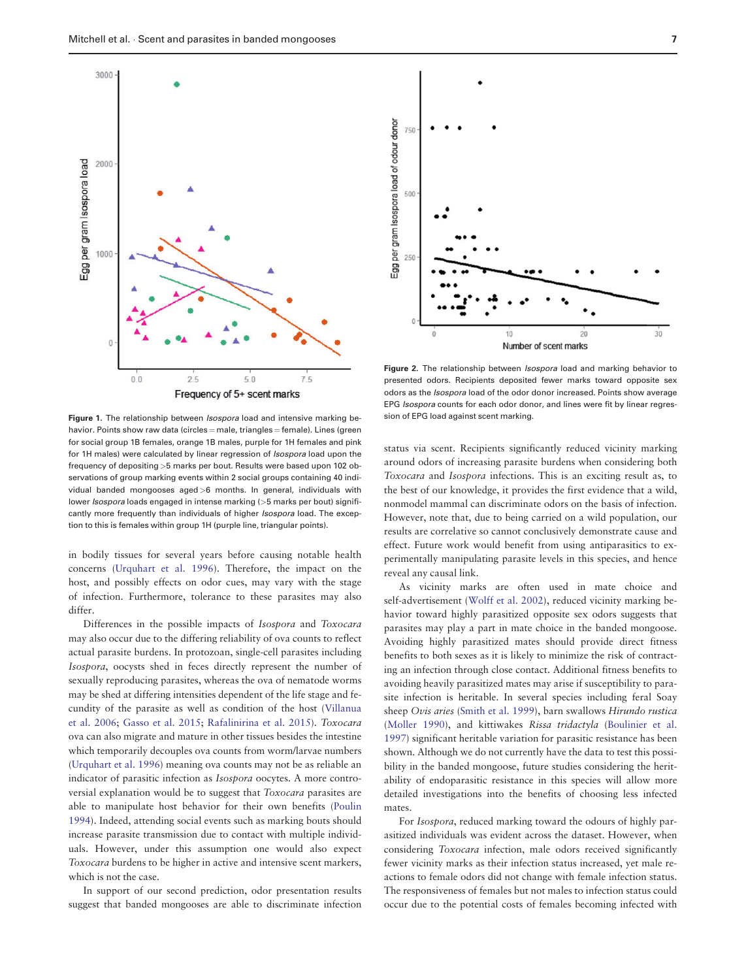<span id="page-7-0"></span>



Frequency of 5+ scent marks

Figure 1. The relationship between *Isospora* load and intensive marking behavior. Points show raw data (circles  $=$  male, triangles  $=$  female). Lines (green for social group 1B females, orange 1B males, purple for 1H females and pink for 1H males) were calculated by linear regression of *Isospora* load upon the frequency of depositing >5 marks per bout. Results were based upon 102 observations of group marking events within 2 social groups containing 40 individual banded mongooses aged >6 months. In general, individuals with lower *Isospora* loads engaged in intense marking (>5 marks per bout) significantly more frequently than individuals of higher *Isospora* load. The exception to this is females within group 1H (purple line, triangular points).

in bodily tissues for several years before causing notable health concerns [\(Urquhart et al. 1996](#page-11-0)). Therefore, the impact on the host, and possibly effects on odor cues, may vary with the stage of infection. Furthermore, tolerance to these parasites may also differ.

Differences in the possible impacts of Isospora and Toxocara may also occur due to the differing reliability of ova counts to reflect actual parasite burdens. In protozoan, single-cell parasites including Isospora, oocysts shed in feces directly represent the number of sexually reproducing parasites, whereas the ova of nematode worms may be shed at differing intensities dependent of the life stage and fecundity of the parasite as well as condition of the host [\(Villanua](#page-11-0) [et al. 2006;](#page-11-0) [Gasso et al. 2015](#page-9-0); [Rafalinirina et al. 2015](#page-10-0)). Toxocara ova can also migrate and mature in other tissues besides the intestine which temporarily decouples ova counts from worm/larvae numbers [\(Urquhart et al. 1996\)](#page-11-0) meaning ova counts may not be as reliable an indicator of parasitic infection as Isospora oocytes. A more controversial explanation would be to suggest that Toxocara parasites are able to manipulate host behavior for their own benefits ([Poulin](#page-10-0) [1994](#page-10-0)). Indeed, attending social events such as marking bouts should increase parasite transmission due to contact with multiple individuals. However, under this assumption one would also expect Toxocara burdens to be higher in active and intensive scent markers, which is not the case.

In support of our second prediction, odor presentation results suggest that banded mongooses are able to discriminate infection

Figure 2. The relationship between *Isospora* load and marking behavior to presented odors. Recipients deposited fewer marks toward opposite sex odors as the Isospora load of the odor donor increased. Points show average EPG Isospora counts for each odor donor, and lines were fit by linear regression of EPG load against scent marking.

status via scent. Recipients significantly reduced vicinity marking around odors of increasing parasite burdens when considering both Toxocara and Isospora infections. This is an exciting result as, to the best of our knowledge, it provides the first evidence that a wild, nonmodel mammal can discriminate odors on the basis of infection. However, note that, due to being carried on a wild population, our results are correlative so cannot conclusively demonstrate cause and effect. Future work would benefit from using antiparasitics to experimentally manipulating parasite levels in this species, and hence reveal any causal link.

As vicinity marks are often used in mate choice and self-advertisement ([Wolff et al. 2002\)](#page-11-0), reduced vicinity marking behavior toward highly parasitized opposite sex odors suggests that parasites may play a part in mate choice in the banded mongoose. Avoiding highly parasitized mates should provide direct fitness benefits to both sexes as it is likely to minimize the risk of contracting an infection through close contact. Additional fitness benefits to avoiding heavily parasitized mates may arise if susceptibility to parasite infection is heritable. In several species including feral Soay sheep Ovis aries [\(Smith et al. 1999\)](#page-11-0), barn swallows Hirundo rustica [\(Moller 1990](#page-10-0)), and kittiwakes Rissa tridactyla [\(Boulinier et al.](#page-9-0) [1997](#page-9-0)) significant heritable variation for parasitic resistance has been shown. Although we do not currently have the data to test this possibility in the banded mongoose, future studies considering the heritability of endoparasitic resistance in this species will allow more detailed investigations into the benefits of choosing less infected mates.

For Isospora, reduced marking toward the odours of highly parasitized individuals was evident across the dataset. However, when considering Toxocara infection, male odors received significantly fewer vicinity marks as their infection status increased, yet male reactions to female odors did not change with female infection status. The responsiveness of females but not males to infection status could occur due to the potential costs of females becoming infected with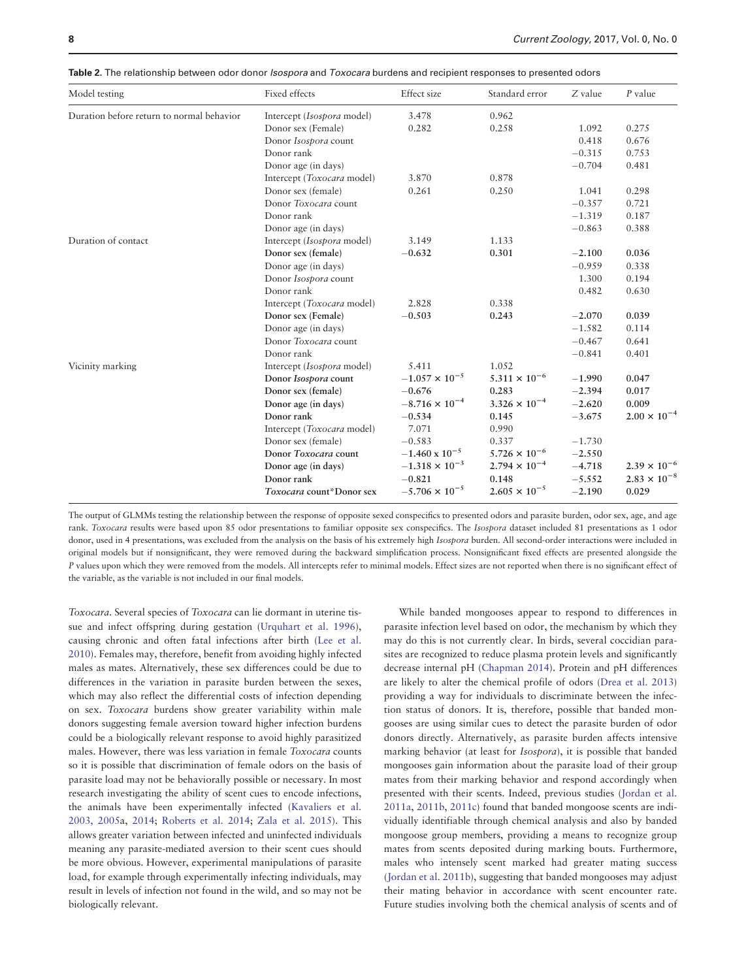| Model testing                             | Fixed effects              | Effect size             | Standard error         | Z value  | $P$ value             |
|-------------------------------------------|----------------------------|-------------------------|------------------------|----------|-----------------------|
| Duration before return to normal behavior | Intercept (Isospora model) | 3.478                   | 0.962                  |          |                       |
|                                           | Donor sex (Female)         | 0.282                   | 0.258                  | 1.092    | 0.275                 |
|                                           | Donor Isospora count       |                         |                        | 0.418    | 0.676                 |
|                                           | Donor rank                 |                         |                        | $-0.315$ | 0.753                 |
|                                           | Donor age (in days)        |                         |                        | $-0.704$ | 0.481                 |
|                                           | Intercept (Toxocara model) | 3.870                   | 0.878                  |          |                       |
|                                           | Donor sex (female)         | 0.261                   | 0.250                  | 1.041    | 0.298                 |
|                                           | Donor Toxocara count       |                         |                        | $-0.357$ | 0.721                 |
|                                           | Donor rank                 |                         |                        | $-1.319$ | 0.187                 |
|                                           | Donor age (in days)        |                         |                        | $-0.863$ | 0.388                 |
| Duration of contact                       | Intercept (Isospora model) | 3.149                   | 1.133                  |          |                       |
|                                           | Donor sex (female)         | $-0.632$                | 0.301                  | $-2.100$ | 0.036                 |
|                                           | Donor age (in days)        |                         |                        | $-0.959$ | 0.338                 |
|                                           | Donor Isospora count       |                         |                        | 1.300    | 0.194                 |
|                                           | Donor rank                 |                         |                        | 0.482    | 0.630                 |
|                                           | Intercept (Toxocara model) | 2.828                   | 0.338                  |          |                       |
|                                           | Donor sex (Female)         | $-0.503$                | 0.243                  | $-2.070$ | 0.039                 |
|                                           | Donor age (in days)        |                         |                        | $-1.582$ | 0.114                 |
|                                           | Donor Toxocara count       |                         |                        | $-0.467$ | 0.641                 |
|                                           | Donor rank                 |                         |                        | $-0.841$ | 0.401                 |
| Vicinity marking                          | Intercept (Isospora model) | 5.411                   | 1.052                  |          |                       |
|                                           | Donor Isospora count       | $-1.057 \times 10^{-5}$ | $5.311 \times 10^{-6}$ | $-1.990$ | 0.047                 |
|                                           | Donor sex (female)         | $-0.676$                | 0.283                  | $-2.394$ | 0.017                 |
|                                           | Donor age (in days)        | $-8.716 \times 10^{-4}$ | $3.326 \times 10^{-4}$ | $-2.620$ | 0.009                 |
|                                           | Donor rank                 | $-0.534$                | 0.145                  | $-3.675$ | $2.00 \times 10^{-4}$ |
|                                           | Intercept (Toxocara model) | 7.071                   | 0.990                  |          |                       |
|                                           | Donor sex (female)         | $-0.583$                | 0.337                  | $-1.730$ |                       |
|                                           | Donor Toxocara count       | $-1.460 \times 10^{-5}$ | $5.726 \times 10^{-6}$ | $-2.550$ |                       |
|                                           | Donor age (in days)        | $-1.318 \times 10^{-3}$ | $2.794 \times 10^{-4}$ | $-4.718$ | $2.39 \times 10^{-6}$ |
|                                           | Donor rank                 | $-0.821$                | 0.148                  | $-5.552$ | $2.83 \times 10^{-8}$ |
|                                           | Toxocara count*Donor sex   | $-5.706 \times 10^{-5}$ | $2.605 \times 10^{-5}$ | $-2.190$ | 0.029                 |

<span id="page-8-0"></span>Table 2. The relationship between odor donor *Isospora* and *Toxocara* burdens and recipient responses to presented odors

The output of GLMMs testing the relationship between the response of opposite sexed conspecifics to presented odors and parasite burden, odor sex, age, and age rank. Toxocara results were based upon 85 odor presentations to familiar opposite sex conspecifics. The Isospora dataset included 81 presentations as 1 odor donor, used in 4 presentations, was excluded from the analysis on the basis of his extremely high Isospora burden. All second-order interactions were included in original models but if nonsignificant, they were removed during the backward simplification process. Nonsignificant fixed effects are presented alongside the P values upon which they were removed from the models. All intercepts refer to minimal models. Effect sizes are not reported when there is no significant effect of the variable, as the variable is not included in our final models.

Toxocara. Several species of Toxocara can lie dormant in uterine tissue and infect offspring during gestation [\(Urquhart et al. 1996\)](#page-11-0), causing chronic and often fatal infections after birth ([Lee et al.](#page-10-0) [2010](#page-10-0)). Females may, therefore, benefit from avoiding highly infected males as mates. Alternatively, these sex differences could be due to differences in the variation in parasite burden between the sexes, which may also reflect the differential costs of infection depending on sex. Toxocara burdens show greater variability within male donors suggesting female aversion toward higher infection burdens could be a biologically relevant response to avoid highly parasitized males. However, there was less variation in female Toxocara counts so it is possible that discrimination of female odors on the basis of parasite load may not be behaviorally possible or necessary. In most research investigating the ability of scent cues to encode infections, the animals have been experimentally infected ([Kavaliers et al.](#page-10-0) [2003, 2005a](#page-10-0), [2014](#page-10-0); [Roberts et al. 2014;](#page-11-0) [Zala et al. 2015\)](#page-11-0). This allows greater variation between infected and uninfected individuals meaning any parasite-mediated aversion to their scent cues should be more obvious. However, experimental manipulations of parasite load, for example through experimentally infecting individuals, may result in levels of infection not found in the wild, and so may not be biologically relevant.

While banded mongooses appear to respond to differences in parasite infection level based on odor, the mechanism by which they may do this is not currently clear. In birds, several coccidian parasites are recognized to reduce plasma protein levels and significantly decrease internal pH ([Chapman 2014\)](#page-9-0). Protein and pH differences are likely to alter the chemical profile of odors [\(Drea et al. 2013\)](#page-9-0) providing a way for individuals to discriminate between the infection status of donors. It is, therefore, possible that banded mongooses are using similar cues to detect the parasite burden of odor donors directly. Alternatively, as parasite burden affects intensive marking behavior (at least for Isospora), it is possible that banded mongooses gain information about the parasite load of their group mates from their marking behavior and respond accordingly when presented with their scents. Indeed, previous studies [\(Jordan et al.](#page-10-0) [2011a](#page-10-0), [2011b,](#page-10-0) [2011c\)](#page-10-0) found that banded mongoose scents are individually identifiable through chemical analysis and also by banded mongoose group members, providing a means to recognize group mates from scents deposited during marking bouts. Furthermore, males who intensely scent marked had greater mating success [\(Jordan et al. 2011b\)](#page-10-0), suggesting that banded mongooses may adjust their mating behavior in accordance with scent encounter rate. Future studies involving both the chemical analysis of scents and of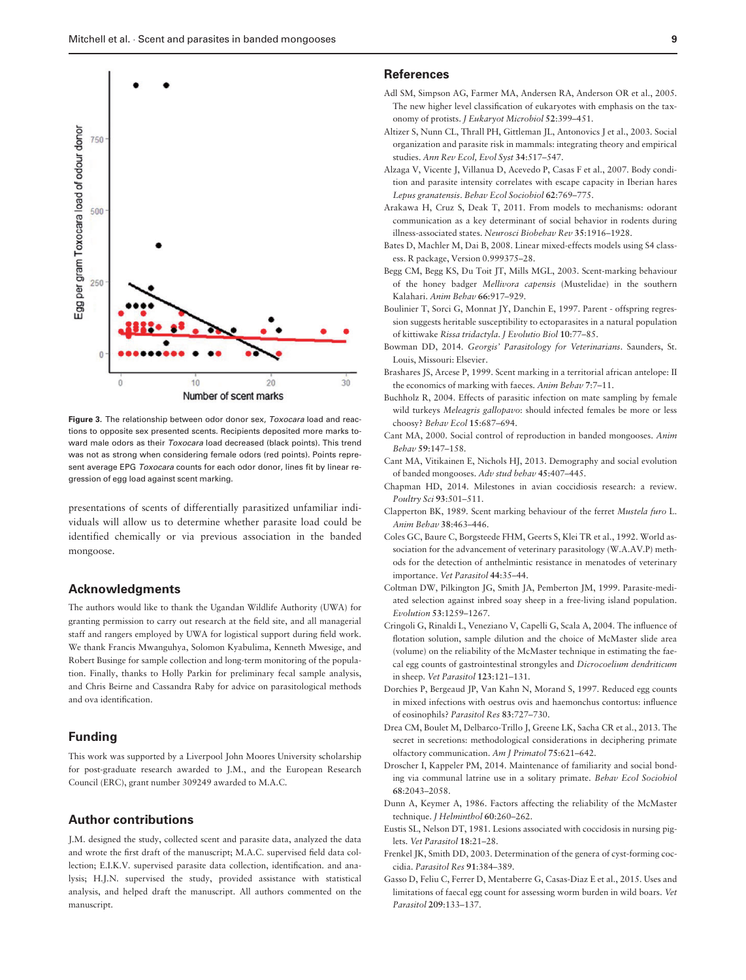<span id="page-9-0"></span>

Figure 3. The relationship between odor donor sex, Toxocara load and reactions to opposite sex presented scents. Recipients deposited more marks toward male odors as their Toxocara load decreased (black points). This trend was not as strong when considering female odors (red points). Points represent average EPG Toxocara counts for each odor donor, lines fit by linear regression of egg load against scent marking.

presentations of scents of differentially parasitized unfamiliar individuals will allow us to determine whether parasite load could be identified chemically or via previous association in the banded mongoose.

#### Acknowledgments

The authors would like to thank the Ugandan Wildlife Authority (UWA) for granting permission to carry out research at the field site, and all managerial staff and rangers employed by UWA for logistical support during field work. We thank Francis Mwanguhya, Solomon Kyabulima, Kenneth Mwesige, and Robert Businge for sample collection and long-term monitoring of the population. Finally, thanks to Holly Parkin for preliminary fecal sample analysis, and Chris Beirne and Cassandra Raby for advice on parasitological methods and ova identification.

# Funding

This work was supported by a Liverpool John Moores University scholarship for post-graduate research awarded to J.M., and the European Research Council (ERC), grant number 309249 awarded to M.A.C.

# Author contributions

J.M. designed the study, collected scent and parasite data, analyzed the data and wrote the first draft of the manuscript; M.A.C. supervised field data collection; E.I.K.V. supervised parasite data collection, identification. and analysis; H.J.N. supervised the study, provided assistance with statistical analysis, and helped draft the manuscript. All authors commented on the manuscript.

### References

- Adl SM, Simpson AG, Farmer MA, Andersen RA, Anderson OR et al., 2005. The new higher level classification of eukaryotes with emphasis on the taxonomy of protists. J Eukaryot Microbiol 52:399–451.
- Altizer S, Nunn CL, Thrall PH, Gittleman JL, Antonovics J et al., 2003. Social organization and parasite risk in mammals: integrating theory and empirical studies. Ann Rev Ecol, Evol Syst 34:517–547.
- Alzaga V, Vicente J, Villanua D, Acevedo P, Casas F et al., 2007. Body condition and parasite intensity correlates with escape capacity in Iberian hares Lepus granatensis. Behav Ecol Sociobiol 62:769–775.
- Arakawa H, Cruz S, Deak T, 2011. From models to mechanisms: odorant communication as a key determinant of social behavior in rodents during illness-associated states. Neurosci Biobehav Rev 35:1916–1928.
- Bates D, Machler M, Dai B, 2008. Linear mixed-effects models using S4 classess. R package, Version 0.999375–28.
- Begg CM, Begg KS, Du Toit JT, Mills MGL, 2003. Scent-marking behaviour of the honey badger Mellivora capensis (Mustelidae) in the southern Kalahari. Anim Behav 66:917–929.
- Boulinier T, Sorci G, Monnat JY, Danchin E, 1997. Parent offspring regression suggests heritable susceptibility to ectoparasites in a natural population of kittiwake Rissa tridactyla. J Evolutio Biol 10:77–85.
- Bowman DD, 2014. Georgis' Parasitology for Veterinarians. Saunders, St. Louis, Missouri: Elsevier.
- Brashares JS, Arcese P, 1999. Scent marking in a territorial african antelope: II the economics of marking with faeces. Anim Behav 7:7–11.
- Buchholz R, 2004. Effects of parasitic infection on mate sampling by female wild turkeys Meleagris gallopavo: should infected females be more or less choosy? Behav Ecol 15:687–694.
- Cant MA, 2000. Social control of reproduction in banded mongooses. Anim Behav 59:147–158.
- Cant MA, Vitikainen E, Nichols HJ, 2013. Demography and social evolution of banded mongooses. Adv stud behav 45:407–445.
- Chapman HD, 2014. Milestones in avian coccidiosis research: a review. Poultry Sci 93:501–511.
- Clapperton BK, 1989. Scent marking behaviour of the ferret Mustela furo L. Anim Behav 38:463–446.
- Coles GC, Baure C, Borgsteede FHM, Geerts S, Klei TR et al., 1992. World association for the advancement of veterinary parasitology (W.A.AV.P) methods for the detection of anthelmintic resistance in menatodes of veterinary importance. Vet Parasitol 44:35–44.
- Coltman DW, Pilkington JG, Smith JA, Pemberton JM, 1999. Parasite-mediated selection against inbred soay sheep in a free-living island population. Evolution 53:1259–1267.
- Cringoli G, Rinaldi L, Veneziano V, Capelli G, Scala A, 2004. The influence of flotation solution, sample dilution and the choice of McMaster slide area (volume) on the reliability of the McMaster technique in estimating the faecal egg counts of gastrointestinal strongyles and Dicrocoelium dendriticum in sheep. Vet Parasitol 123:121–131.
- Dorchies P, Bergeaud JP, Van Kahn N, Morand S, 1997. Reduced egg counts in mixed infections with oestrus ovis and haemonchus contortus: influence of eosinophils? Parasitol Res 83:727–730.
- Drea CM, Boulet M, Delbarco-Trillo J, Greene LK, Sacha CR et al., 2013. The secret in secretions: methodological considerations in deciphering primate olfactory communication. Am J Primatol 75:621–642.
- Droscher I, Kappeler PM, 2014. Maintenance of familiarity and social bonding via communal latrine use in a solitary primate. Behav Ecol Sociobiol 68:2043–2058.
- Dunn A, Keymer A, 1986. Factors affecting the reliability of the McMaster technique. J Helminthol 60:260-262.
- Eustis SL, Nelson DT, 1981. Lesions associated with coccidosis in nursing piglets. Vet Parasitol 18:21–28.
- Frenkel JK, Smith DD, 2003. Determination of the genera of cyst-forming coccidia. Parasitol Res 91:384–389.
- Gasso D, Feliu C, Ferrer D, Mentaberre G, Casas-Diaz E et al., 2015. Uses and limitations of faecal egg count for assessing worm burden in wild boars. Vet Parasitol 209:133–137.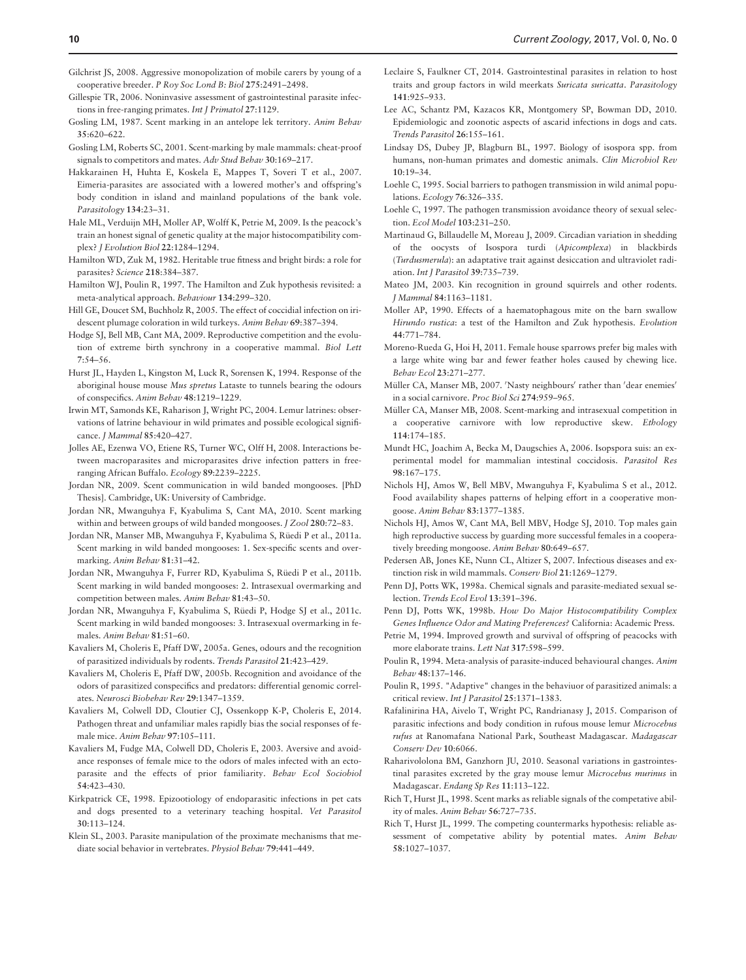- <span id="page-10-0"></span>Gilchrist JS, 2008. Aggressive monopolization of mobile carers by young of a cooperative breeder. P Roy Soc Lond B: Biol 275:2491–2498.
- Gillespie TR, 2006. Noninvasive assessment of gastrointestinal parasite infections in free-ranging primates. Int J Primatol 27:1129.
- Gosling LM, 1987. Scent marking in an antelope lek territory. Anim Behav 35:620–622.
- Gosling LM, Roberts SC, 2001. Scent-marking by male mammals: cheat-proof signals to competitors and mates. Adv Stud Behav 30:169–217.
- Hakkarainen H, Huhta E, Koskela E, Mappes T, Soveri T et al., 2007. Eimeria-parasites are associated with a lowered mother's and offspring's body condition in island and mainland populations of the bank vole. Parasitology 134:23–31.
- Hale ML, Verduijn MH, Moller AP, Wolff K, Petrie M, 2009. Is the peacock's train an honest signal of genetic quality at the major histocompatibility complex? J Evolution Biol 22:1284–1294.
- Hamilton WD, Zuk M, 1982. Heritable true fitness and bright birds: a role for parasites? Science 218:384–387.
- Hamilton WJ, Poulin R, 1997. The Hamilton and Zuk hypothesis revisited: a meta-analytical approach. Behaviour 134:299–320.
- Hill GE, Doucet SM, Buchholz R, 2005. The effect of coccidial infection on iridescent plumage coloration in wild turkeys. Anim Behav 69:387–394.
- Hodge SJ, Bell MB, Cant MA, 2009. Reproductive competition and the evolution of extreme birth synchrony in a cooperative mammal. Biol Lett 7:54–56.
- Hurst JL, Hayden L, Kingston M, Luck R, Sorensen K, 1994. Response of the aboriginal house mouse Mus spretus Lataste to tunnels bearing the odours of conspecifics. Anim Behav 48:1219–1229.
- Irwin MT, Samonds KE, Raharison J, Wright PC, 2004. Lemur latrines: observations of latrine behaviour in wild primates and possible ecological significance. J Mammal 85:420–427.
- Jolles AE, Ezenwa VO, Etiene RS, Turner WC, Olff H, 2008. Interactions between macroparasites and microparasites drive infection patters in freeranging African Buffalo. Ecology 89:2239–2225.
- Jordan NR, 2009. Scent communication in wild banded mongooses. [PhD Thesis]. Cambridge, UK: University of Cambridge.
- Jordan NR, Mwanguhya F, Kyabulima S, Cant MA, 2010. Scent marking within and between groups of wild banded mongooses. J Zool 280:72–83.
- Jordan NR, Manser MB, Mwanguhya F, Kyabulima S, Rüedi P et al., 2011a. Scent marking in wild banded mongooses: 1. Sex-specific scents and overmarking. Anim Behav 81:31–42.
- Jordan NR, Mwanguhya F, Furrer RD, Kyabulima S, Rüedi P et al., 2011b. Scent marking in wild banded mongooses: 2. Intrasexual overmarking and competition between males. Anim Behav 81:43–50.
- Jordan NR, Mwanguhya F, Kyabulima S, Rüedi P, Hodge SJ et al., 2011c. Scent marking in wild banded mongooses: 3. Intrasexual overmarking in females. Anim Behav 81:51–60.
- Kavaliers M, Choleris E, Pfaff DW, 2005a. Genes, odours and the recognition of parasitized individuals by rodents. Trends Parasitol 21:423–429.
- Kavaliers M, Choleris E, Pfaff DW, 2005b. Recognition and avoidance of the odors of parasitized conspecifics and predators: differential genomic correlates. Neurosci Biobehav Rev 29:1347–1359.
- Kavaliers M, Colwell DD, Cloutier CJ, Ossenkopp K-P, Choleris E, 2014. Pathogen threat and unfamiliar males rapidly bias the social responses of female mice. Anim Behav 97:105–111.
- Kavaliers M, Fudge MA, Colwell DD, Choleris E, 2003. Aversive and avoidance responses of female mice to the odors of males infected with an ectoparasite and the effects of prior familiarity. Behav Ecol Sociobiol 54:423–430.
- Kirkpatrick CE, 1998. Epizootiology of endoparasitic infections in pet cats and dogs presented to a veterinary teaching hospital. Vet Parasitol 30:113–124.
- Klein SL, 2003. Parasite manipulation of the proximate mechanisms that mediate social behavior in vertebrates. Physiol Behav 79:441–449.
- Leclaire S, Faulkner CT, 2014. Gastrointestinal parasites in relation to host traits and group factors in wild meerkats Suricata suricatta. Parasitology 141:925–933.
- Lee AC, Schantz PM, Kazacos KR, Montgomery SP, Bowman DD, 2010. Epidemiologic and zoonotic aspects of ascarid infections in dogs and cats. Trends Parasitol 26:155–161.
- Lindsay DS, Dubey JP, Blagburn BL, 1997. Biology of isospora spp. from humans, non-human primates and domestic animals. Clin Microbiol Rev 10:19–34.
- Loehle C, 1995. Social barriers to pathogen transmission in wild animal populations. Ecology 76:326–335.
- Loehle C, 1997. The pathogen transmission avoidance theory of sexual selection. Ecol Model 103:231–250.
- Martinaud G, Billaudelle M, Moreau J, 2009. Circadian variation in shedding of the oocysts of Isospora turdi (Apicomplexa) in blackbirds (Turdusmerula): an adaptative trait against desiccation and ultraviolet radiation. Int J Parasitol 39:735–739.
- Mateo JM, 2003. Kin recognition in ground squirrels and other rodents. J Mammal 84:1163–1181.
- Moller AP, 1990. Effects of a haematophagous mite on the barn swallow Hirundo rustica: a test of the Hamilton and Zuk hypothesis. Evolution 44:771–784.
- Moreno-Rueda G, Hoi H, 2011. Female house sparrows prefer big males with a large white wing bar and fewer feather holes caused by chewing lice. Behav Ecol 23:271–277.
- Müller CA, Manser MB, 2007. 'Nasty neighbours' rather than 'dear enemies' in a social carnivore. Proc Biol Sci 274:959–965.
- Müller CA, Manser MB, 2008. Scent-marking and intrasexual competition in a cooperative carnivore with low reproductive skew. Ethology 114:174–185.
- Mundt HC, Joachim A, Becka M, Daugschies A, 2006. Isopspora suis: an experimental model for mammalian intestinal coccidosis. Parasitol Res 98:167–175.
- Nichols HJ, Amos W, Bell MBV, Mwanguhya F, Kyabulima S et al., 2012. Food availability shapes patterns of helping effort in a cooperative mongoose. Anim Behav 83:1377–1385.
- Nichols HJ, Amos W, Cant MA, Bell MBV, Hodge SJ, 2010. Top males gain high reproductive success by guarding more successful females in a cooperatively breeding mongoose. Anim Behav 80:649–657.
- Pedersen AB, Jones KE, Nunn CL, Altizer S, 2007. Infectious diseases and extinction risk in wild mammals. Conserv Biol 21:1269–1279.
- Penn DJ, Potts WK, 1998a. Chemical signals and parasite-mediated sexual selection. Trends Ecol Evol 13:391–396.
- Penn DJ, Potts WK, 1998b. How Do Major Histocompatibility Complex Genes Influence Odor and Mating Preferences? California: Academic Press.
- Petrie M, 1994. Improved growth and survival of offspring of peacocks with more elaborate trains. Lett Nat 317:598–599.
- Poulin R, 1994. Meta-analysis of parasite-induced behavioural changes. Anim Behav 48:137–146.
- Poulin R, 1995. "Adaptive" changes in the behaviuor of parasitized animals: a critical review. Int J Parasitol 25:1371–1383.
- Rafalinirina HA, Aivelo T, Wright PC, Randrianasy J, 2015. Comparison of parasitic infections and body condition in rufous mouse lemur Microcebus rufus at Ranomafana National Park, Southeast Madagascar. Madagascar Conserv Dev 10:6066.
- Raharivololona BM, Ganzhorn JU, 2010. Seasonal variations in gastrointestinal parasites excreted by the gray mouse lemur Microcebus murinus in Madagascar. Endang Sp Res 11:113–122.
- Rich T, Hurst JL, 1998. Scent marks as reliable signals of the competative ability of males. Anim Behav 56:727–735.
- Rich T, Hurst JL, 1999. The competing countermarks hypothesis: reliable assessment of competative ability by potential mates. Anim Behav 58:1027–1037.